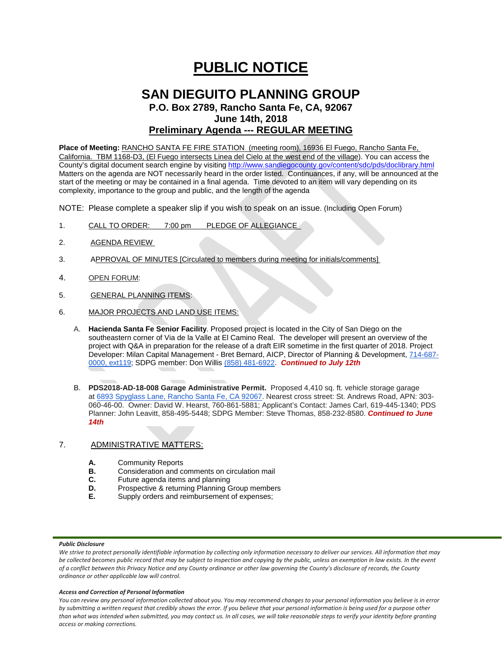# **PUBLIC NOTICE**

# **SAN DIEGUITO PLANNING GROUP P.O. Box 2789, Rancho Santa Fe, CA, 92067 June 14th, 2018 Preliminary Agenda --- REGULAR MEETING**

**Place of Meeting:** RANCHO SANTA FE FIRE STATION (meeting room), 16936 El Fuego, Rancho Santa Fe, California. TBM 1168-D3, (El Fuego intersects Linea del Cielo at the west end of the village). You can access the County's digital document search engine by visitin[g http://www.sandiegocounty.gov/content/sdc/pds/doclibrary.html](http://www.sandiegocounty.gov/content/sdc/pds/doclibrary.html) Matters on the agenda are NOT necessarily heard in the order listed. Continuances, if any, will be announced at the start of the meeting or may be contained in a final agenda. Time devoted to an item will vary depending on its complexity, importance to the group and public, and the length of the agenda

NOTE: Please complete a speaker slip if you wish to speak on an issue. (Including Open Forum)

- 1. CALL TO ORDER: 7:00 pm PLEDGE OF ALLEGIANCE
- 2. AGENDA REVIEW
- 3. APPROVAL OF MINUTES [Circulated to members during meeting for initials/comments]
- 4. OPEN FORUM:
- 5. GENERAL PLANNING ITEMS:
- 6. MAJOR PROJECTS AND LAND USE ITEMS:
	- A. **Hacienda Santa Fe Senior Facility**. Proposed project is located in the City of San Diego on the southeastern corner of Via de la Valle at El Camino Real. The developer will present an overview of the project with Q&A in preparation for the release of a draft EIR sometime in the first quarter of 2018. Project Developer: Milan Capital Management - Bret Bernard, AICP, Director of Planning & Development, [714-687-](tel:(714)%20687-0000) [0000, ext119;](tel:(714)%20687-0000) SDPG member: Don Willis [\(858\) 481-6922.](tel:(858)%20481-6922) *Continued to July 12th*
	- B. **PDS2018-AD-18-008 Garage Administrative Permit.** Proposed 4,410 sq. ft. vehicle storage garage at [6893 Spyglass Lane, Rancho Santa Fe, CA 92067.](https://maps.google.com/?q=6893+Spyglass+Lane,+Rancho+Santa+Fe,+CA+92091&entry=gmail&source=g) Nearest cross street: St. Andrews Road, APN: 303- 060-46-00. Owner: David W. Hearst, 760-861-5881; Applicant's Contact: James Carl, 619-445-1340; PDS Planner: John Leavitt, 858-495-5448; SDPG Member: Steve Thomas, 858-232-8580. *Continued to June 14th*

# 7. ADMINISTRATIVE MATTERS:

- **A.** Community Reports<br>**B.** Consideration and com-
- **B.** Consideration and comments on circulation mail<br>**C.** Future agenda items and planning
- **C.** Future agenda items and planning<br>**D.** Prospective & returning Planning G.
- **D.** Prospective & returning Planning Group members<br>**F.** Supply orders and reimbursement of expenses:
- **E.** Supply orders and reimbursement of expenses;

## *Public Disclosure*

### *Access and Correction of Personal Information*

*You can review any personal information collected about you. You may recommend changes to your personal information you believe is in error by submitting a written request that credibly shows the error. If you believe that your personal information is being used for a purpose other than what was intended when submitted, you may contact us. In all cases, we will take reasonable steps to verify your identity before granting access or making corrections.*

*We strive to protect personally identifiable information by collecting only information necessary to deliver our services. All information that may be collected becomes public record that may be subject to inspection and copying by the public, unless an exemption in law exists. In the event of a conflict between this Privacy Notice and any County ordinance or other law governing the County's disclosure of records, the County ordinance or other applicable law will control.*